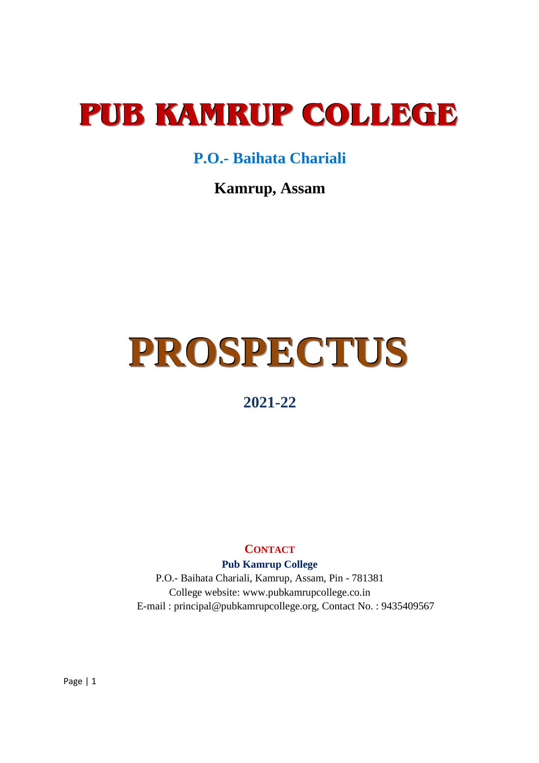## **PUB KAMRUP COLLEGE**

### **P.O.- Baihata Chariali**

**Kamrup, Assam** 

# **PROSPECTUS**

### **2021-22**

### **CONTACT**

**Pub Kamrup College**

P.O.- Baihata Chariali, Kamrup, Assam, Pin - 781381 College website: www.pubkamrupcollege.co.in E-mail : principal@pubkamrupcollege.org, Contact No. : 9435409567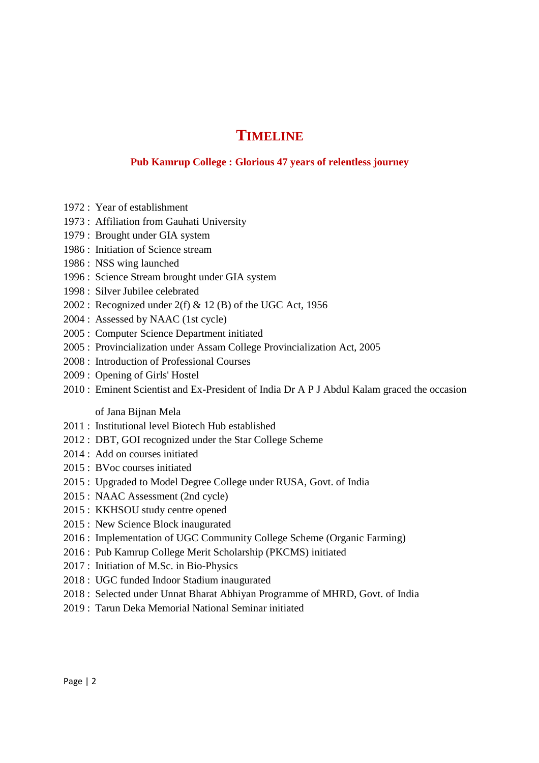### **TIMELINE**

### **Pub Kamrup College : Glorious 47 years of relentless journey**

- 1972 : Year of establishment
- 1973 : Affiliation from Gauhati University
- 1979 : Brought under GIA system
- 1986 : Initiation of Science stream
- 1986 : NSS wing launched
- 1996 : Science Stream brought under GIA system
- 1998 : Silver Jubilee celebrated
- 2002 : Recognized under  $2(f)$  & 12 (B) of the UGC Act, 1956
- 2004 : Assessed by NAAC (1st cycle)
- 2005 : Computer Science Department initiated
- 2005 : Provincialization under Assam College Provincialization Act, 2005
- 2008 : Introduction of Professional Courses
- 2009 : Opening of Girls' Hostel
- 2010 : Eminent Scientist and Ex-President of India Dr A P J Abdul Kalam graced the occasion

of Jana Bijnan Mela

- 2011 : Institutional level Biotech Hub established
- 2012 : DBT, GOI recognized under the Star College Scheme
- 2014 : Add on courses initiated
- 2015 : BVoc courses initiated
- 2015 : Upgraded to Model Degree College under RUSA, Govt. of India
- 2015 : NAAC Assessment (2nd cycle)
- 2015 : KKHSOU study centre opened
- 2015 : New Science Block inaugurated
- 2016 : Implementation of UGC Community College Scheme (Organic Farming)
- 2016 : Pub Kamrup College Merit Scholarship (PKCMS) initiated
- 2017 : Initiation of M.Sc. in Bio-Physics
- 2018 : UGC funded Indoor Stadium inaugurated
- 2018 : Selected under Unnat Bharat Abhiyan Programme of MHRD, Govt. of India
- 2019 : Tarun Deka Memorial National Seminar initiated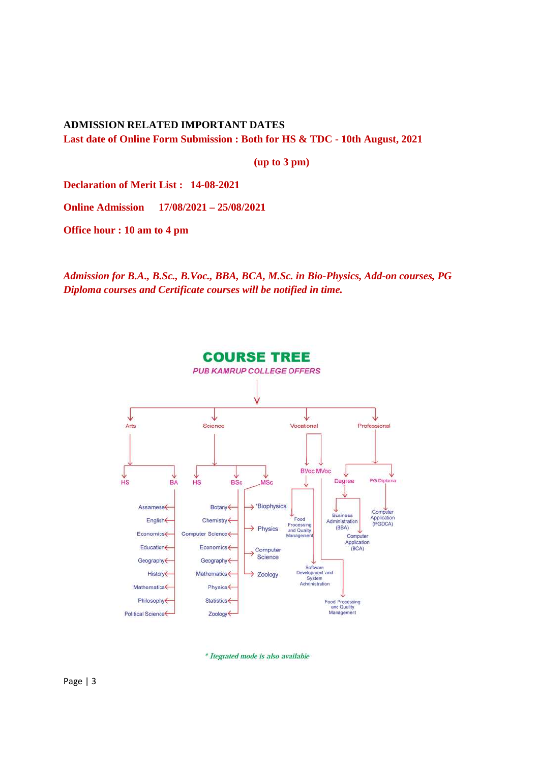**ADMISSION RELATED IMPORTANT DATES Last date of Online Form Submission : Both for HS & TDC - 10th August, 2021** 

**(up to 3 pm)** 

**Declaration of Merit List : 14-08-2021** 

**Online Admission 17/08/2021 – 25/08/2021** 

**Office hour : 10 am to 4 pm** 

*Admission for B.A., B.Sc., B.Voc., BBA, BCA, M.Sc. in Bio-Physics, Add-on courses, PG Diploma courses and Certificate courses will be notified in time.* 



\* Itegrated mode is also available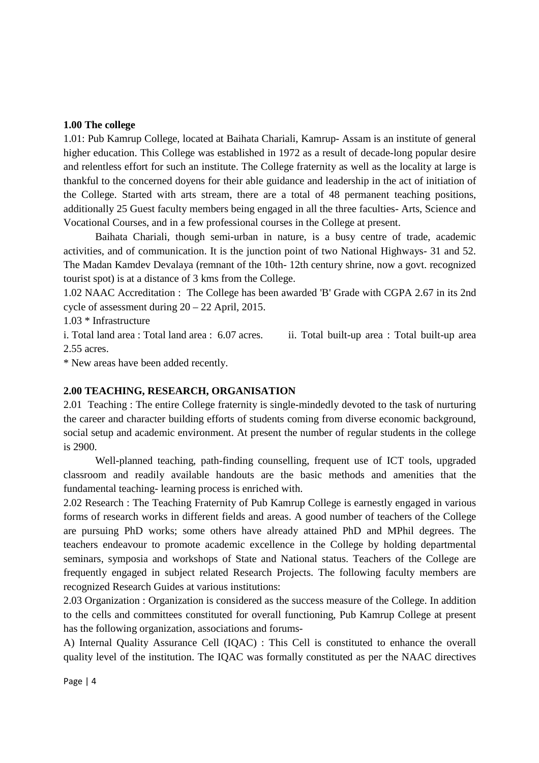#### **1.00 The college**

1.01: Pub Kamrup College, located at Baihata Chariali, Kamrup- Assam is an institute of general higher education. This College was established in 1972 as a result of decade-long popular desire and relentless effort for such an institute. The College fraternity as well as the locality at large is thankful to the concerned doyens for their able guidance and leadership in the act of initiation of the College. Started with arts stream, there are a total of 48 permanent teaching positions, additionally 25 Guest faculty members being engaged in all the three faculties- Arts, Science and Vocational Courses, and in a few professional courses in the College at present.

 Baihata Chariali, though semi-urban in nature, is a busy centre of trade, academic activities, and of communication. It is the junction point of two National Highways- 31 and 52. The Madan Kamdev Devalaya (remnant of the 10th- 12th century shrine, now a govt. recognized tourist spot) is at a distance of 3 kms from the College.

1.02 NAAC Accreditation : The College has been awarded 'B' Grade with CGPA 2.67 in its 2nd cycle of assessment during 20 – 22 April, 2015.

1.03 \* Infrastructure

i. Total land area : Total land area : 6.07 acres. ii. Total built-up area : Total built-up area 2.55 acres.

\* New areas have been added recently.

### **2.00 TEACHING, RESEARCH, ORGANISATION**

2.01 Teaching : The entire College fraternity is single-mindedly devoted to the task of nurturing the career and character building efforts of students coming from diverse economic background, social setup and academic environment. At present the number of regular students in the college is 2900.

 Well-planned teaching, path-finding counselling, frequent use of ICT tools, upgraded classroom and readily available handouts are the basic methods and amenities that the fundamental teaching- learning process is enriched with.

2.02 Research : The Teaching Fraternity of Pub Kamrup College is earnestly engaged in various forms of research works in different fields and areas. A good number of teachers of the College are pursuing PhD works; some others have already attained PhD and MPhil degrees. The teachers endeavour to promote academic excellence in the College by holding departmental seminars, symposia and workshops of State and National status. Teachers of the College are frequently engaged in subject related Research Projects. The following faculty members are recognized Research Guides at various institutions:

2.03 Organization : Organization is considered as the success measure of the College. In addition to the cells and committees constituted for overall functioning, Pub Kamrup College at present has the following organization, associations and forums-

A) Internal Quality Assurance Cell (IQAC) : This Cell is constituted to enhance the overall quality level of the institution. The IQAC was formally constituted as per the NAAC directives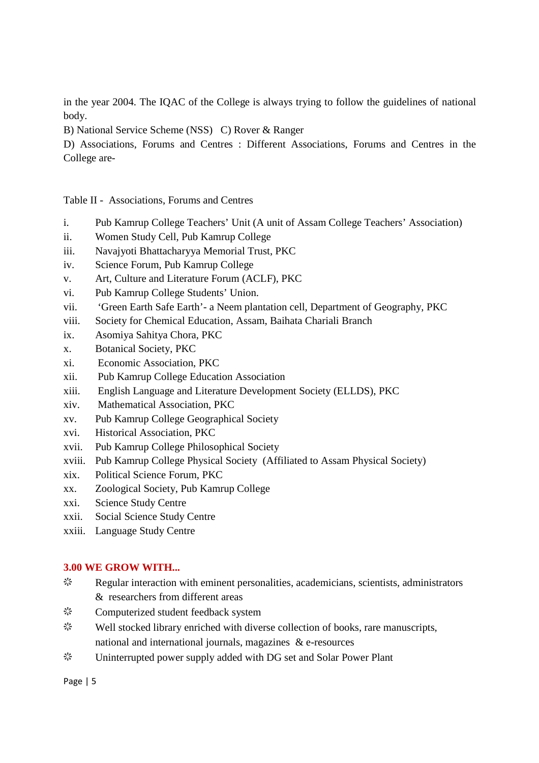in the year 2004. The IQAC of the College is always trying to follow the guidelines of national body.

B) National Service Scheme (NSS) C) Rover & Ranger

D) Associations, Forums and Centres : Different Associations, Forums and Centres in the College are-

Table II - Associations, Forums and Centres

- i. Pub Kamrup College Teachers' Unit (A unit of Assam College Teachers' Association)
- ii. Women Study Cell, Pub Kamrup College
- iii. Navajyoti Bhattacharyya Memorial Trust, PKC
- iv. Science Forum, Pub Kamrup College
- v. Art, Culture and Literature Forum (ACLF), PKC
- vi. Pub Kamrup College Students' Union.
- vii. 'Green Earth Safe Earth'- a Neem plantation cell, Department of Geography, PKC
- viii. Society for Chemical Education, Assam, Baihata Chariali Branch
- ix. Asomiya Sahitya Chora, PKC
- x. Botanical Society, PKC
- xi. Economic Association, PKC
- xii. Pub Kamrup College Education Association
- xiii. English Language and Literature Development Society (ELLDS), PKC
- xiv. Mathematical Association, PKC
- xv. Pub Kamrup College Geographical Society
- xvi. Historical Association, PKC
- xvii. Pub Kamrup College Philosophical Society
- xviii. Pub Kamrup College Physical Society (Affiliated to Assam Physical Society)
- xix. Political Science Forum, PKC
- xx. Zoological Society, Pub Kamrup College
- xxi. Science Study Centre
- xxii. Social Science Study Centre
- xxiii. Language Study Centre

### **3.00 WE GROW WITH...**

- $\ddot{\mathbf{z}}$  Regular interaction with eminent personalities, academicians, scientists, administrators & researchers from different areas
- a Computerized student feedback system
- $\ddot{\mathbf{z}}$  Well stocked library enriched with diverse collection of books, rare manuscripts, national and international journals, magazines & e-resources
- $\ddot{\mathcal{R}}$  Uninterrupted power supply added with DG set and Solar Power Plant

Page | 5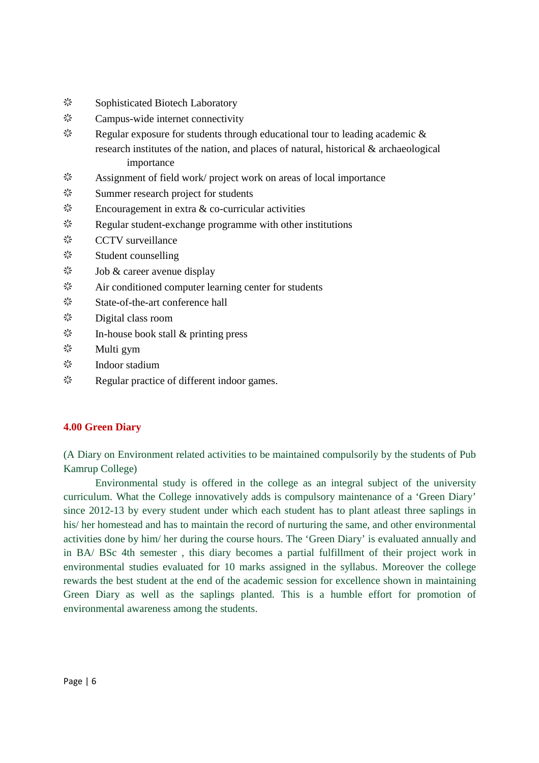- **※ Sophisticated Biotech Laboratory**
- $\frac{dx}{dx}$  Campus-wide internet connectivity
- $\ddot{\mathcal{R}}$  Regular exposure for students through educational tour to leading academic & research institutes of the nation, and places of natural, historical & archaeological importance
- $\ddot{\mathbf{a}}$  Assignment of field work/ project work on areas of local importance
- $\frac{dx}{dx}$  Summer research project for students
- $\ddot{\mathcal{E}}$  Encouragement in extra & co-curricular activities
- $\zeta^{\prime}$  Regular student-exchange programme with other institutions
- ※ CCTV surveillance
- **※ Student counselling**
- $\ddot{\mathcal{E}}$  Job & career avenue display
- $\frac{d^{4}x}{dx^{4}}$  Air conditioned computer learning center for students
- a State-of-the-art conference hall
- $\ddot{\mathcal{F}}$  Digital class room
- $\ddot{\mathcal{E}}$  In-house book stall & printing press
- $\ddot{\mathcal{E}}$  Multi gym
- $\frac{\xi_1^{\star}}{\xi_2^{\star}}$  Indoor stadium
- $\Diamond$  Regular practice of different indoor games.

### **4.00 Green Diary**

(A Diary on Environment related activities to be maintained compulsorily by the students of Pub Kamrup College)

 Environmental study is offered in the college as an integral subject of the university curriculum. What the College innovatively adds is compulsory maintenance of a 'Green Diary' since 2012-13 by every student under which each student has to plant atleast three saplings in his/ her homestead and has to maintain the record of nurturing the same, and other environmental activities done by him/ her during the course hours. The 'Green Diary' is evaluated annually and in BA/ BSc 4th semester , this diary becomes a partial fulfillment of their project work in environmental studies evaluated for 10 marks assigned in the syllabus. Moreover the college rewards the best student at the end of the academic session for excellence shown in maintaining Green Diary as well as the saplings planted. This is a humble effort for promotion of environmental awareness among the students.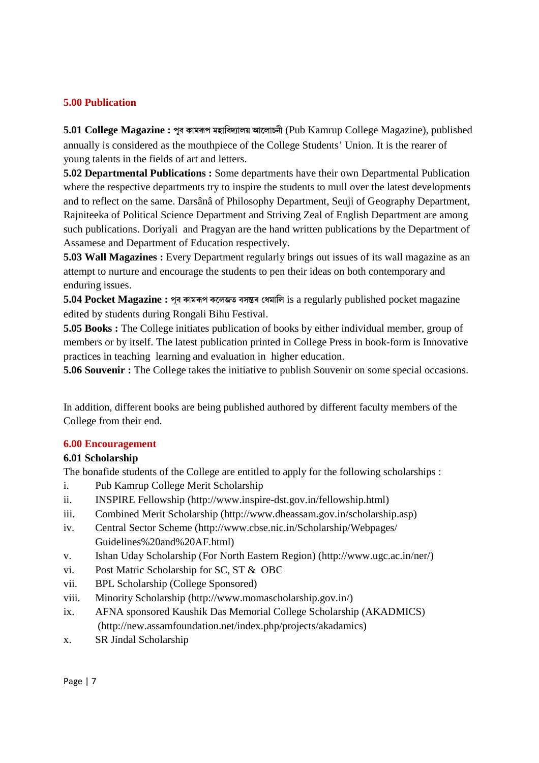### **5.00 Publication**

**5.01 College Magazine : ÂóÓÂõ ßÁ±÷1+Âó ÷ýñ¿ÂõðÃɱùûþ Õ±Ëù±äÂòÏ** (Pub Kamrup College Magazine), published annually is considered as the mouthpiece of the College Students' Union. It is the rearer of young talents in the fields of art and letters.

**5.02 Departmental Publications :** Some departments have their own Departmental Publication where the respective departments try to inspire the students to mull over the latest developments and to reflect on the same. Darsânâ of Philosophy Department, Seuji of Geography Department, Rajniteeka of Political Science Department and Striving Zeal of English Department are among such publications. Doriyali and Pragyan are the hand written publications by the Department of Assamese and Department of Education respectively.

**5.03 Wall Magazines :** Every Department regularly brings out issues of its wall magazine as an attempt to nurture and encourage the students to pen their ideas on both contemporary and enduring issues.

**5.04 Pocket Magazine : পূব কামৰূপ কলেজত বসন্তৰ ধেমালি** is a regularly published pocket magazine edited by students during Rongali Bihu Festival.

**5.05 Books :** The College initiates publication of books by either individual member, group of members or by itself. The latest publication printed in College Press in book-form is Innovative practices in teaching learning and evaluation in higher education.

**5.06 Souvenir :** The College takes the initiative to publish Souvenir on some special occasions.

In addition, different books are being published authored by different faculty members of the College from their end.

### **6.00 Encouragement**

### **6.01 Scholarship**

The bonafide students of the College are entitled to apply for the following scholarships :

- i. Pub Kamrup College Merit Scholarship
- ii. INSPIRE Fellowship (http://www.inspire-dst.gov.in/fellowship.html)
- iii. Combined Merit Scholarship (http://www.dheassam.gov.in/scholarship.asp)
- iv. Central Sector Scheme (http://www.cbse.nic.in/Scholarship/Webpages/ Guidelines%20and%20AF.html)
- v. Ishan Uday Scholarship (For North Eastern Region) (http://www.ugc.ac.in/ner/)
- vi. Post Matric Scholarship for SC, ST & OBC
- vii. BPL Scholarship (College Sponsored)
- viii. Minority Scholarship (http://www.momascholarship.gov.in/)
- ix. AFNA sponsored Kaushik Das Memorial College Scholarship (AKADMICS) (http://new.assamfoundation.net/index.php/projects/akadamics)
- x. SR Jindal Scholarship

Page | 7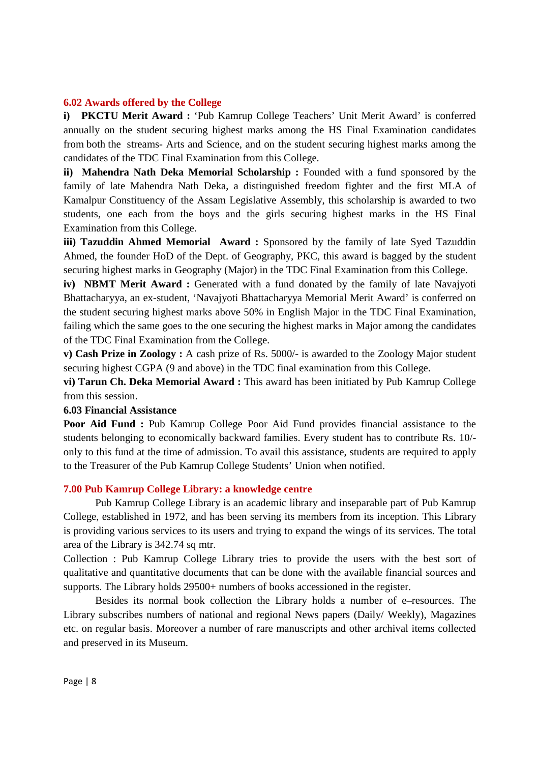#### **6.02 Awards offered by the College**

**i) PKCTU Merit Award :** 'Pub Kamrup College Teachers' Unit Merit Award' is conferred annually on the student securing highest marks among the HS Final Examination candidates from both the streams- Arts and Science, and on the student securing highest marks among the candidates of the TDC Final Examination from this College.

**ii) Mahendra Nath Deka Memorial Scholarship :** Founded with a fund sponsored by the family of late Mahendra Nath Deka, a distinguished freedom fighter and the first MLA of Kamalpur Constituency of the Assam Legislative Assembly, this scholarship is awarded to two students, one each from the boys and the girls securing highest marks in the HS Final Examination from this College.

**iii) Tazuddin Ahmed Memorial Award :** Sponsored by the family of late Syed Tazuddin Ahmed, the founder HoD of the Dept. of Geography, PKC, this award is bagged by the student securing highest marks in Geography (Major) in the TDC Final Examination from this College.

**iv) NBMT Merit Award :** Generated with a fund donated by the family of late Navajyoti Bhattacharyya, an ex-student, 'Navajyoti Bhattacharyya Memorial Merit Award' is conferred on the student securing highest marks above 50% in English Major in the TDC Final Examination, failing which the same goes to the one securing the highest marks in Major among the candidates of the TDC Final Examination from the College.

**v) Cash Prize in Zoology :** A cash prize of Rs. 5000/- is awarded to the Zoology Major student securing highest CGPA (9 and above) in the TDC final examination from this College.

**vi) Tarun Ch. Deka Memorial Award :** This award has been initiated by Pub Kamrup College from this session.

#### **6.03 Financial Assistance**

**Poor Aid Fund :** Pub Kamrup College Poor Aid Fund provides financial assistance to the students belonging to economically backward families. Every student has to contribute Rs. 10/ only to this fund at the time of admission. To avail this assistance, students are required to apply to the Treasurer of the Pub Kamrup College Students' Union when notified.

### **7.00 Pub Kamrup College Library: a knowledge centre**

 Pub Kamrup College Library is an academic library and inseparable part of Pub Kamrup College, established in 1972, and has been serving its members from its inception. This Library is providing various services to its users and trying to expand the wings of its services. The total area of the Library is 342.74 sq mtr.

Collection : Pub Kamrup College Library tries to provide the users with the best sort of qualitative and quantitative documents that can be done with the available financial sources and supports. The Library holds 29500+ numbers of books accessioned in the register.

 Besides its normal book collection the Library holds a number of e–resources. The Library subscribes numbers of national and regional News papers (Daily/ Weekly), Magazines etc. on regular basis. Moreover a number of rare manuscripts and other archival items collected and preserved in its Museum.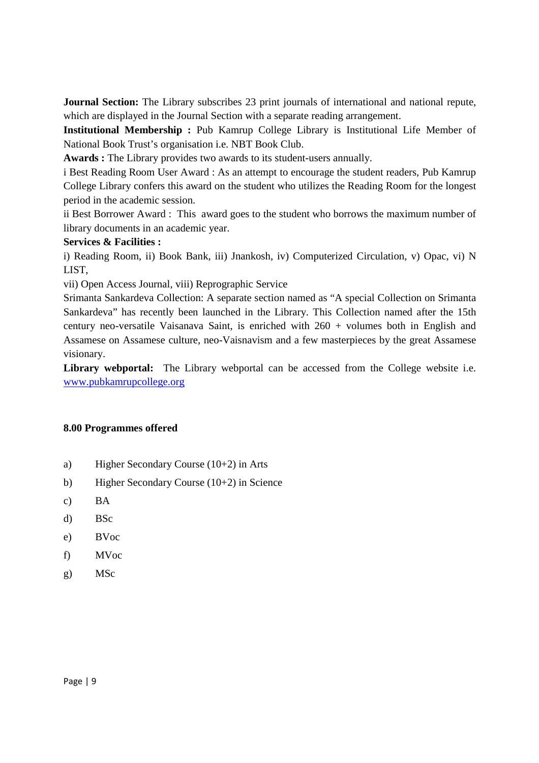**Journal Section:** The Library subscribes 23 print journals of international and national repute, which are displayed in the Journal Section with a separate reading arrangement.

**Institutional Membership :** Pub Kamrup College Library is Institutional Life Member of National Book Trust's organisation i.e. NBT Book Club.

**Awards :** The Library provides two awards to its student-users annually.

i Best Reading Room User Award : As an attempt to encourage the student readers, Pub Kamrup College Library confers this award on the student who utilizes the Reading Room for the longest period in the academic session.

ii Best Borrower Award : This award goes to the student who borrows the maximum number of library documents in an academic year.

### **Services & Facilities :**

i) Reading Room, ii) Book Bank, iii) Jnankosh, iv) Computerized Circulation, v) Opac, vi) N LIST,

vii) Open Access Journal, viii) Reprographic Service

Srimanta Sankardeva Collection: A separate section named as "A special Collection on Srimanta Sankardeva" has recently been launched in the Library. This Collection named after the 15th century neo-versatile Vaisanava Saint, is enriched with 260 + volumes both in English and Assamese on Assamese culture, neo-Vaisnavism and a few masterpieces by the great Assamese visionary.

Library webportal: The Library webportal can be accessed from the College website i.e. www.pubkamrupcollege.org

### **8.00 Programmes offered**

- a) Higher Secondary Course (10+2) in Arts
- b) Higher Secondary Course (10+2) in Science
- c) BA
- d) BSc
- e) BVoc
- f) MVoc
- g) MSc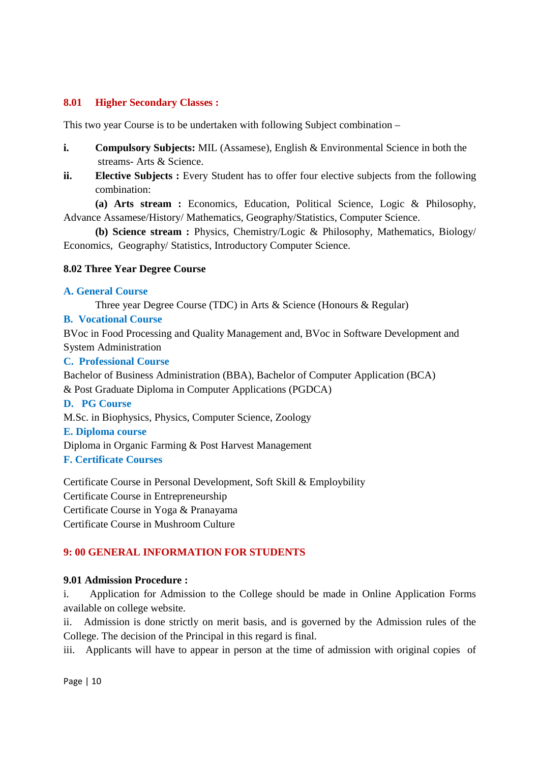### **8.01 Higher Secondary Classes :**

This two year Course is to be undertaken with following Subject combination –

- **i. Compulsory Subjects:** MIL (Assamese), English & Environmental Science in both the streams- Arts & Science.
- **ii. Elective Subjects :** Every Student has to offer four elective subjects from the following combination:

**(a) Arts stream :** Economics, Education, Political Science, Logic & Philosophy, Advance Assamese/History/ Mathematics, Geography/Statistics, Computer Science.

**(b) Science stream :** Physics, Chemistry/Logic & Philosophy, Mathematics, Biology/ Economics, Geography/ Statistics, Introductory Computer Science.

### **8.02 Three Year Degree Course**

### **A. General Course**

Three year Degree Course (TDC) in Arts & Science (Honours & Regular)

### **B. Vocational Course**

BVoc in Food Processing and Quality Management and, BVoc in Software Development and System Administration

### **C. Professional Course**

Bachelor of Business Administration (BBA), Bachelor of Computer Application (BCA) & Post Graduate Diploma in Computer Applications (PGDCA)

### **D. PG Course**

M.Sc. in Biophysics, Physics, Computer Science, Zoology

### **E. Diploma course**

Diploma in Organic Farming & Post Harvest Management

**F. Certificate Courses**

Certificate Course in Personal Development, Soft Skill & Employbility Certificate Course in Entrepreneurship Certificate Course in Yoga & Pranayama Certificate Course in Mushroom Culture

### **9: 00 GENERAL INFORMATION FOR STUDENTS**

### **9.01 Admission Procedure :**

i. Application for Admission to the College should be made in Online Application Forms available on college website.

ii. Admission is done strictly on merit basis, and is governed by the Admission rules of the College. The decision of the Principal in this regard is final.

iii. Applicants will have to appear in person at the time of admission with original copies of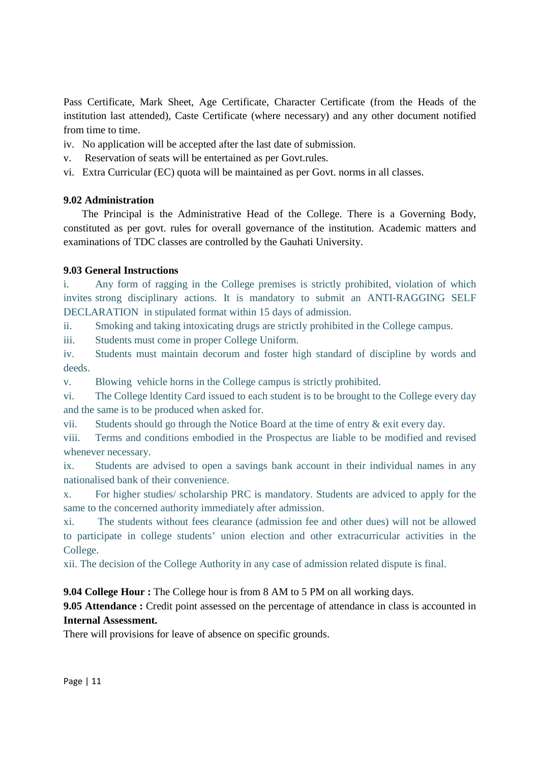Pass Certificate, Mark Sheet, Age Certificate, Character Certificate (from the Heads of the institution last attended), Caste Certificate (where necessary) and any other document notified from time to time.

- iv. No application will be accepted after the last date of submission.
- v. Reservation of seats will be entertained as per Govt.rules.
- vi. Extra Curricular (EC) quota will be maintained as per Govt. norms in all classes.

### **9.02 Administration**

 The Principal is the Administrative Head of the College. There is a Governing Body, constituted as per govt. rules for overall governance of the institution. Academic matters and examinations of TDC classes are controlled by the Gauhati University.

### **9.03 General Instructions**

i. Any form of ragging in the College premises is strictly prohibited, violation of which invites strong disciplinary actions. It is mandatory to submit an ANTI-RAGGING SELF DECLARATION in stipulated format within 15 days of admission.

ii. Smoking and taking intoxicating drugs are strictly prohibited in the College campus.

iii. Students must come in proper College Uniform.

iv. Students must maintain decorum and foster high standard of discipline by words and deeds.

v. Blowing vehicle horns in the College campus is strictly prohibited.

vi. The College ldentity Card issued to each student is to be brought to the College every day and the same is to be produced when asked for.

vii. Students should go through the Notice Board at the time of entry & exit every day.

viii. Terms and conditions embodied in the Prospectus are liable to be modified and revised whenever necessary.

ix. Students are advised to open a savings bank account in their individual names in any nationalised bank of their convenience.

x. For higher studies/ scholarship PRC is mandatory. Students are adviced to apply for the same to the concerned authority immediately after admission.

xi. The students without fees clearance (admission fee and other dues) will not be allowed to participate in college students' union election and other extracurricular activities in the College.

xii. The decision of the College Authority in any case of admission related dispute is final.

**9.04 College Hour :** The College hour is from 8 AM to 5 PM on all working days.

**9.05 Attendance :** Credit point assessed on the percentage of attendance in class is accounted in **Internal Assessment.** 

There will provisions for leave of absence on specific grounds.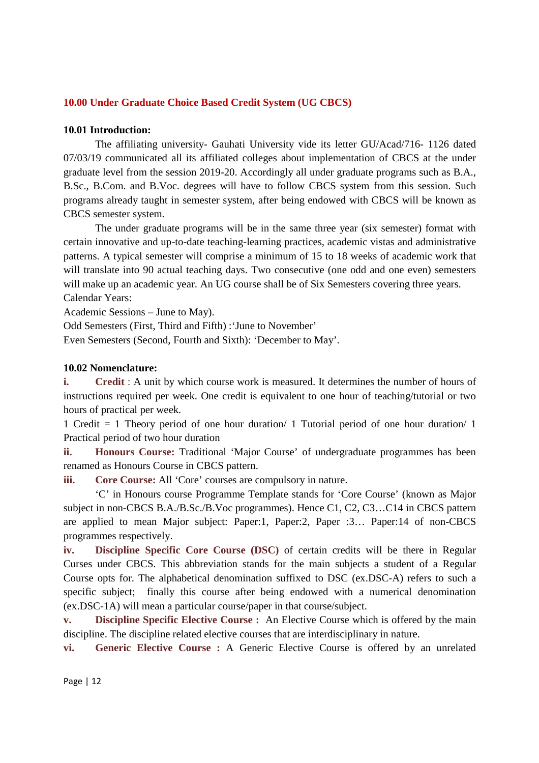### **10.00 Under Graduate Choice Based Credit System (UG CBCS)**

#### **10.01 Introduction:**

 The affiliating university- Gauhati University vide its letter GU/Acad/716- 1126 dated 07/03/19 communicated all its affiliated colleges about implementation of CBCS at the under graduate level from the session 2019-20. Accordingly all under graduate programs such as B.A., B.Sc., B.Com. and B.Voc. degrees will have to follow CBCS system from this session. Such programs already taught in semester system, after being endowed with CBCS will be known as CBCS semester system.

 The under graduate programs will be in the same three year (six semester) format with certain innovative and up-to-date teaching-learning practices, academic vistas and administrative patterns. A typical semester will comprise a minimum of 15 to 18 weeks of academic work that will translate into 90 actual teaching days. Two consecutive (one odd and one even) semesters will make up an academic year. An UG course shall be of Six Semesters covering three years. Calendar Years:

Academic Sessions – June to May).

Odd Semesters (First, Third and Fifth) :'June to November'

Even Semesters (Second, Fourth and Sixth): 'December to May'.

#### **10.02 Nomenclature:**

**i. Credit** : A unit by which course work is measured. It determines the number of hours of instructions required per week. One credit is equivalent to one hour of teaching/tutorial or two hours of practical per week.

1 Credit = 1 Theory period of one hour duration/ 1 Tutorial period of one hour duration/ 1 Practical period of two hour duration

**ii. Honours Course:** Traditional 'Major Course' of undergraduate programmes has been renamed as Honours Course in CBCS pattern.

**iii. Core Course:** All 'Core' courses are compulsory in nature.

 'C' in Honours course Programme Template stands for 'Core Course' (known as Major subject in non-CBCS B.A./B.Sc./B.Voc programmes). Hence C1, C2, C3…C14 in CBCS pattern are applied to mean Major subject: Paper:1, Paper:2, Paper :3… Paper:14 of non-CBCS programmes respectively.

**iv. Discipline Specific Core Course (DSC)** of certain credits will be there in Regular Curses under CBCS. This abbreviation stands for the main subjects a student of a Regular Course opts for. The alphabetical denomination suffixed to DSC (ex.DSC-A) refers to such a specific subject; finally this course after being endowed with a numerical denomination (ex.DSC-1A) will mean a particular course/paper in that course/subject.

**v. Discipline Specific Elective Course :** An Elective Course which is offered by the main discipline. The discipline related elective courses that are interdisciplinary in nature.

**vi. Generic Elective Course :** A Generic Elective Course is offered by an unrelated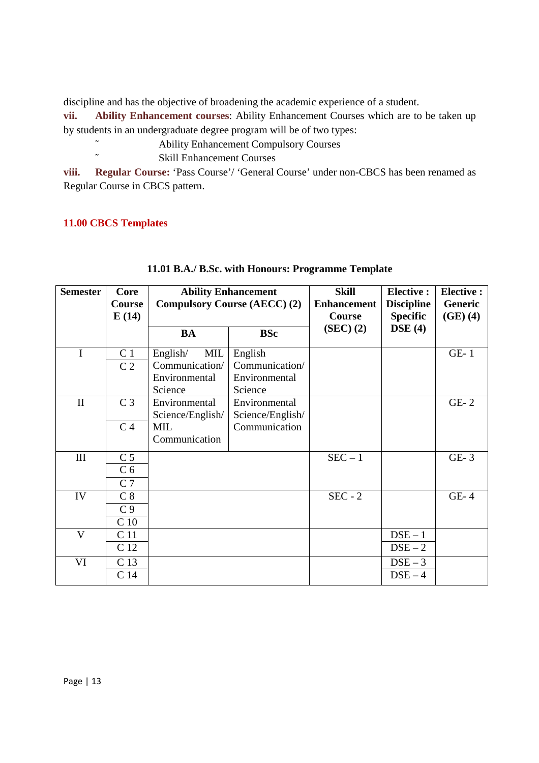discipline and has the objective of broadening the academic experience of a student.

**vii. Ability Enhancement courses**: Ability Enhancement Courses which are to be taken up by students in an undergraduate degree program will be of two types:

- ˜ Ability Enhancement Compulsory Courses
	- Skill Enhancement Courses

**viii. Regular Course:** 'Pass Course'/ 'General Course' under non-CBCS has been renamed as Regular Course in CBCS pattern.

### **11.00 CBCS Templates**

| <b>Semester</b> | Core            | <b>Ability Enhancement</b> |                                     | <b>Skill</b>       | <b>Elective:</b>  | <b>Elective:</b> |
|-----------------|-----------------|----------------------------|-------------------------------------|--------------------|-------------------|------------------|
|                 | <b>Course</b>   |                            | <b>Compulsory Course (AECC) (2)</b> | <b>Enhancement</b> | <b>Discipline</b> | Generic          |
|                 | E(14)           |                            |                                     | Course             | <b>Specific</b>   | $(GE)$ (4)       |
|                 |                 | <b>BA</b>                  | <b>BSc</b>                          | (SEC) (2)          | $\bf{DSE}$ (4)    |                  |
| I               | C <sub>1</sub>  | MIL<br>English/            | English                             |                    |                   | $GE-1$           |
|                 | C <sub>2</sub>  | Communication/             | Communication/                      |                    |                   |                  |
|                 |                 | Environmental              | Environmental                       |                    |                   |                  |
|                 |                 | Science                    | Science                             |                    |                   |                  |
| $\mathbf{I}$    | C <sub>3</sub>  | Environmental              | Environmental                       |                    |                   | $GE-2$           |
|                 |                 | Science/English/           | Science/English/                    |                    |                   |                  |
|                 | C <sub>4</sub>  | MIL                        | Communication                       |                    |                   |                  |
|                 |                 | Communication              |                                     |                    |                   |                  |
| Ш               | C <sub>5</sub>  |                            |                                     | $SEC - 1$          |                   | $GE-3$           |
|                 | C <sub>6</sub>  |                            |                                     |                    |                   |                  |
|                 | C <sub>7</sub>  |                            |                                     |                    |                   |                  |
| IV              | C <sub>8</sub>  |                            |                                     | $SEC - 2$          |                   | $GE-4$           |
|                 | C <sub>9</sub>  |                            |                                     |                    |                   |                  |
|                 | C <sub>10</sub> |                            |                                     |                    |                   |                  |
| $\mathbf{V}$    | C <sub>11</sub> |                            |                                     |                    | $DSE - 1$         |                  |
|                 | C 12            |                            |                                     |                    | $DSE-2$           |                  |
| VI              | C <sub>13</sub> |                            |                                     |                    | $DSE-3$           |                  |
|                 | C <sub>14</sub> |                            |                                     |                    | $DSE-4$           |                  |

### **11.01 B.A./ B.Sc. with Honours: Programme Template**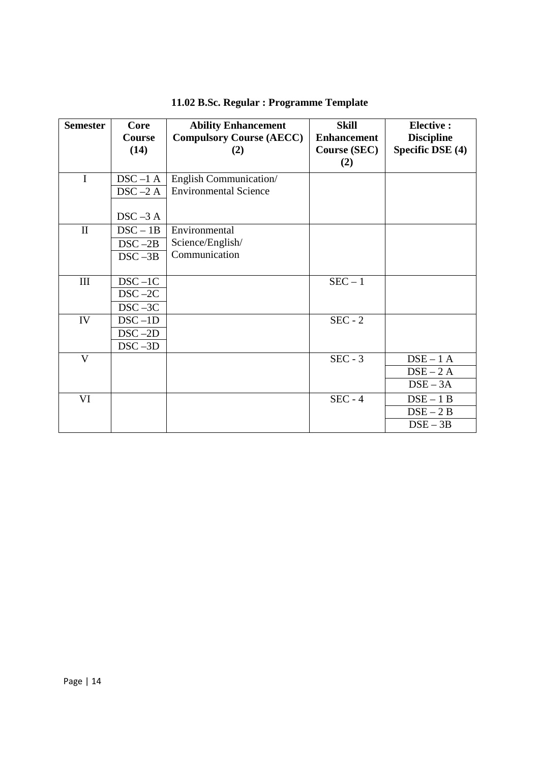| <b>Semester</b>         | Core                  | <b>Ability Enhancement</b>             | <b>Skill</b>                              | <b>Elective:</b>                      |
|-------------------------|-----------------------|----------------------------------------|-------------------------------------------|---------------------------------------|
|                         | <b>Course</b><br>(14) | <b>Compulsory Course (AECC)</b><br>(2) | <b>Enhancement</b><br><b>Course (SEC)</b> | <b>Discipline</b><br>Specific DSE (4) |
|                         |                       |                                        | (2)                                       |                                       |
| $\mathbf I$             | $DSC-1A$              | English Communication                  |                                           |                                       |
|                         | $DSC - 2A$            | <b>Environmental Science</b>           |                                           |                                       |
|                         |                       |                                        |                                           |                                       |
|                         | $DSC - 3A$            |                                        |                                           |                                       |
| $\mathbf{I}$            | $DSC - 1B$            | Environmental                          |                                           |                                       |
|                         | $DSC - 2B$            | Science/English/                       |                                           |                                       |
|                         | $DSC - 3B$            | Communication                          |                                           |                                       |
|                         |                       |                                        |                                           |                                       |
| $\rm III$               | $DSC-1C$              |                                        | $SEC - 1$                                 |                                       |
|                         | $DSC - 2C$            |                                        |                                           |                                       |
|                         | $DSC - 3C$            |                                        |                                           |                                       |
| IV                      | $DSC -1D$             |                                        | $SEC - 2$                                 |                                       |
|                         | $DSC - 2D$            |                                        |                                           |                                       |
|                         | $DSC - 3D$            |                                        |                                           |                                       |
| $\overline{\mathbf{V}}$ |                       |                                        | $SEC - 3$                                 | $DSE - 1$ A                           |
|                         |                       |                                        |                                           | $DSE - 2A$                            |
|                         |                       |                                        |                                           | $DSE - 3A$                            |
| VI                      |                       |                                        | $SEC - 4$                                 | $DSE - 1B$                            |
|                         |                       |                                        |                                           | $DSE - 2B$                            |
|                         |                       |                                        |                                           | $DSE - 3B$                            |

### **11.02 B.Sc. Regular : Programme Template**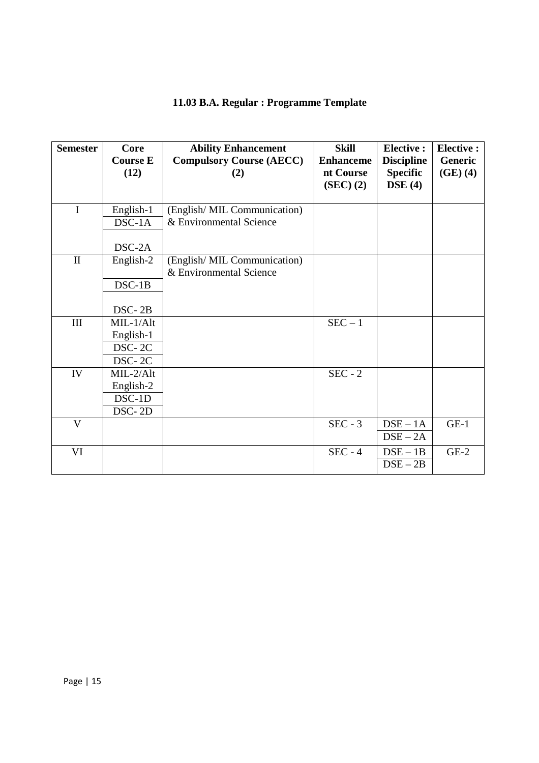### **11.03 B.A. Regular : Programme Template**

| <b>Semester</b> | Core<br><b>Course E</b><br>(12) | <b>Ability Enhancement</b><br><b>Compulsory Course (AECC)</b><br>(2) | <b>Skill</b><br><b>Enhanceme</b><br>nt Course | <b>Elective:</b><br><b>Discipline</b><br><b>Specific</b> | <b>Elective:</b><br>Generic<br>(GE)(4) |
|-----------------|---------------------------------|----------------------------------------------------------------------|-----------------------------------------------|----------------------------------------------------------|----------------------------------------|
|                 |                                 |                                                                      | (SEC) (2)                                     | DSE(4)                                                   |                                        |
| $\mathbf I$     | English-1                       | (English/MIL Communication)                                          |                                               |                                                          |                                        |
|                 | $DSC-1A$                        | & Environmental Science                                              |                                               |                                                          |                                        |
|                 | DSC-2A                          |                                                                      |                                               |                                                          |                                        |
| $\mathbf{I}$    | English-2                       | (English/MIL Communication)                                          |                                               |                                                          |                                        |
|                 |                                 | & Environmental Science                                              |                                               |                                                          |                                        |
|                 | $DSC-1B$                        |                                                                      |                                               |                                                          |                                        |
|                 | DSC-2B                          |                                                                      |                                               |                                                          |                                        |
| III             | MIL-1/Alt                       |                                                                      | $SEC - 1$                                     |                                                          |                                        |
|                 | English-1                       |                                                                      |                                               |                                                          |                                        |
|                 | DSC-2C                          |                                                                      |                                               |                                                          |                                        |
|                 | DSC-2C                          |                                                                      |                                               |                                                          |                                        |
| IV              | $MIL-2/Alt$                     |                                                                      | $SEC - 2$                                     |                                                          |                                        |
|                 | English-2                       |                                                                      |                                               |                                                          |                                        |
|                 | DSC-1D                          |                                                                      |                                               |                                                          |                                        |
|                 | DSC-2D                          |                                                                      |                                               |                                                          |                                        |
| V               |                                 |                                                                      | $SEC - 3$                                     | $DSE - 1A$                                               | $GE-1$                                 |
|                 |                                 |                                                                      |                                               | $DSE - 2A$                                               |                                        |
| VI              |                                 |                                                                      | $SEC - 4$                                     | $DSE - 1B$<br>$DSE - 2B$                                 | $GE-2$                                 |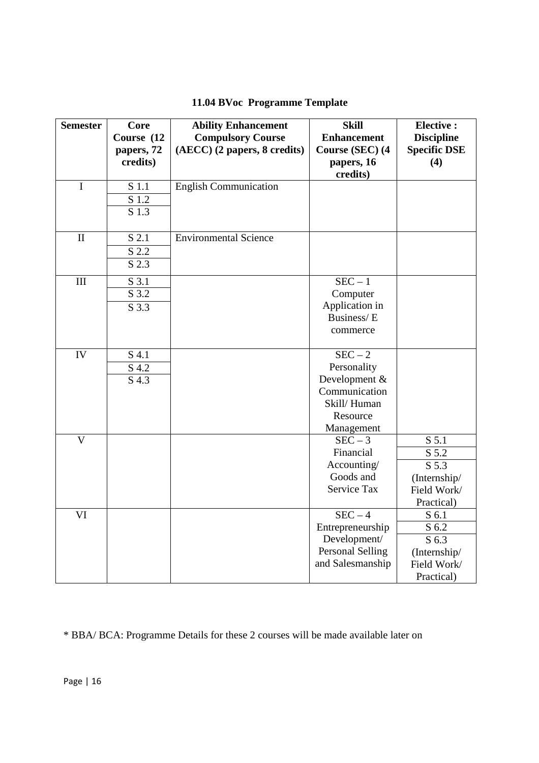### **11.04 BVoc Programme Template**

| <b>Semester</b>             | <b>Core</b>        | <b>Ability Enhancement</b>   | <b>Skill</b>           | <b>Elective:</b>    |
|-----------------------------|--------------------|------------------------------|------------------------|---------------------|
|                             | Course (12         | <b>Compulsory Course</b>     | <b>Enhancement</b>     | <b>Discipline</b>   |
|                             | papers, 72         | (AECC) (2 papers, 8 credits) | Course (SEC) (4        | <b>Specific DSE</b> |
|                             | credits)           |                              | papers, 16<br>credits) | (4)                 |
| $\mathbf I$                 | $\overline{S}$ 1.1 | <b>English Communication</b> |                        |                     |
|                             | S 1.2              |                              |                        |                     |
|                             | S 1.3              |                              |                        |                     |
|                             |                    |                              |                        |                     |
| $\mathbf{I}$                | S 2.1              | <b>Environmental Science</b> |                        |                     |
|                             | S 2.2              |                              |                        |                     |
|                             | S 2.3              |                              |                        |                     |
| $\mathop{\rm III}\nolimits$ | S 3.1              |                              | $SEC - 1$              |                     |
|                             | S 3.2              |                              | Computer               |                     |
|                             | S 3.3              |                              | Application in         |                     |
|                             |                    |                              | Business/E             |                     |
|                             |                    |                              | commerce               |                     |
| IV                          | S 4.1              |                              | $SEC - 2$              |                     |
|                             | S 4.2              |                              | Personality            |                     |
|                             | $\overline{S}$ 4.3 |                              | Development &          |                     |
|                             |                    |                              | Communication          |                     |
|                             |                    |                              | Skill/Human            |                     |
|                             |                    |                              | Resource               |                     |
|                             |                    |                              | Management             |                     |
| $\overline{V}$              |                    |                              | $SEC - 3$              | S <sub>5.1</sub>    |
|                             |                    |                              | Financial              | S 5.2               |
|                             |                    |                              | Accounting/            | S 5.3               |
|                             |                    |                              | Goods and              | (Internship/        |
|                             |                    |                              | Service Tax            | Field Work/         |
|                             |                    |                              |                        | Practical)          |
| VI                          |                    |                              | $SEC - 4$              | S 6.1               |
|                             |                    |                              | Entrepreneurship       | S 6.2               |
|                             |                    |                              | Development/           | S 6.3               |
|                             |                    |                              | Personal Selling       | (Internship/        |
|                             |                    |                              | and Salesmanship       | Field Work/         |
|                             |                    |                              |                        | Practical)          |

\* BBA/ BCA: Programme Details for these 2 courses will be made available later on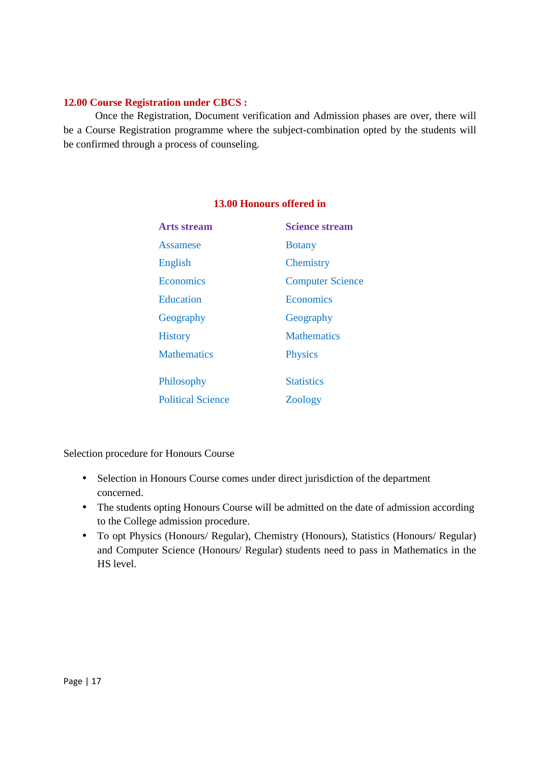### **12.00 Course Registration under CBCS :**

 Once the Registration, Document verification and Admission phases are over, there will be a Course Registration programme where the subject-combination opted by the students will be confirmed through a process of counseling.

| Arts stream              | <b>Science stream</b>   |
|--------------------------|-------------------------|
| <b>Assamese</b>          | <b>Botany</b>           |
| English                  | Chemistry               |
| Economics                | <b>Computer Science</b> |
| Education                | Economics               |
| Geography                | Geography               |
| <b>History</b>           | <b>Mathematics</b>      |
| <b>Mathematics</b>       | <b>Physics</b>          |
|                          |                         |
| Philosophy               | <b>Statistics</b>       |
| <b>Political Science</b> | Zoology                 |

### **13.00 Honours offered in**

Selection procedure for Honours Course

- Selection in Honours Course comes under direct jurisdiction of the department concerned.
- The students opting Honours Course will be admitted on the date of admission according to the College admission procedure.
- To opt Physics (Honours/ Regular), Chemistry (Honours), Statistics (Honours/ Regular) and Computer Science (Honours/ Regular) students need to pass in Mathematics in the HS level.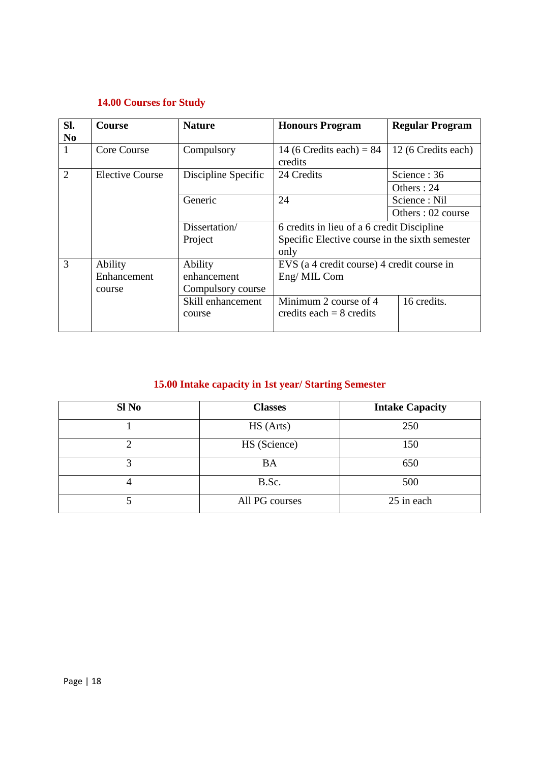### **14.00 Courses for Study**

| SI.            | Course                 | <b>Nature</b>       | <b>Honours Program</b>                         | <b>Regular Program</b> |
|----------------|------------------------|---------------------|------------------------------------------------|------------------------|
| N <sub>0</sub> |                        |                     |                                                |                        |
| $\mathbf{1}$   | Core Course            | Compulsory          | 14 (6 Credits each) = $84$                     | 12 (6 Credits each)    |
|                |                        |                     | credits                                        |                        |
| $\overline{2}$ | <b>Elective Course</b> | Discipline Specific | 24 Credits                                     | Science: 36            |
|                |                        |                     |                                                | Others: 24             |
|                |                        | Generic             | 24                                             | Science: Nil           |
|                |                        |                     |                                                | Others: 02 course      |
|                |                        | Dissertation/       | 6 credits in lieu of a 6 credit Discipline     |                        |
|                |                        | Project             | Specific Elective course in the sixth semester |                        |
|                |                        |                     | only                                           |                        |
| 3              | Ability                | Ability             | EVS (a 4 credit course) 4 credit course in     |                        |
|                | Enhancement            | enhancement         | Eng/MIL Com                                    |                        |
|                | course                 | Compulsory course   |                                                |                        |
|                |                        | Skill enhancement   | Minimum 2 course of 4                          | 16 credits.            |
|                |                        | course              | credits each $= 8$ credits                     |                        |
|                |                        |                     |                                                |                        |

### **15.00 Intake capacity in 1st year/ Starting Semester**

| Sl No | <b>Classes</b> | <b>Intake Capacity</b> |
|-------|----------------|------------------------|
|       | HS (Arts)      | 250                    |
|       | HS (Science)   | 150                    |
|       | <b>BA</b>      | 650                    |
|       | B.Sc.          | 500                    |
|       | All PG courses | 25 in each             |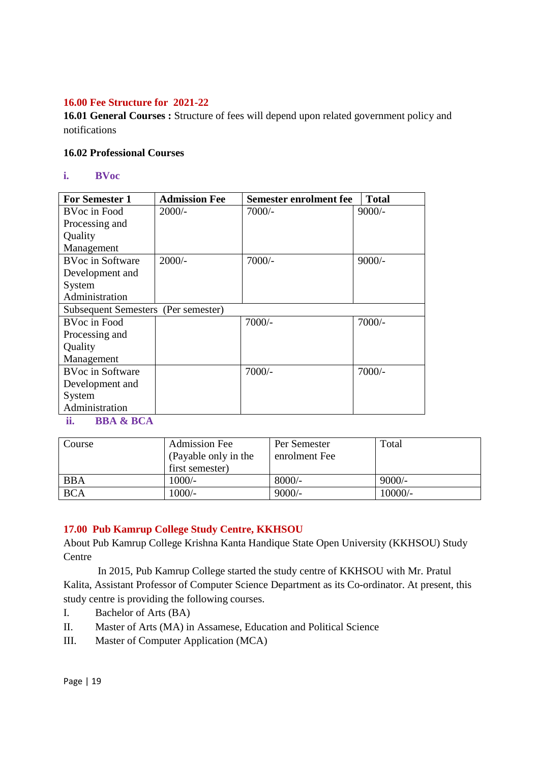### **16.00 Fee Structure for 2021-22**

**16.01 General Courses :** Structure of fees will depend upon related government policy and notifications

### **16.02 Professional Courses**

**i. BVoc** 

| <b>For Semester 1</b>               | <b>Admission Fee</b> | <b>Semester enrolment fee</b> | <b>Total</b> |
|-------------------------------------|----------------------|-------------------------------|--------------|
| <b>BVoc</b> in Food                 | $2000/-$             | $7000/-$                      | $9000/-$     |
| Processing and                      |                      |                               |              |
| Quality                             |                      |                               |              |
| Management                          |                      |                               |              |
| <b>BVoc in Software</b>             | $2000/-$             | $7000/-$                      | $9000/-$     |
| Development and                     |                      |                               |              |
| System                              |                      |                               |              |
| Administration                      |                      |                               |              |
| Subsequent Semesters (Per semester) |                      |                               |              |
| BVoc in Food                        |                      | 7000/-                        | $7000/-$     |
| Processing and                      |                      |                               |              |
| Quality                             |                      |                               |              |
| Management                          |                      |                               |              |
| <b>BVoc in Software</b>             |                      | $7000/-$                      | $7000/-$     |
| Development and                     |                      |                               |              |
| System                              |                      |                               |              |
| Administration                      |                      |                               |              |

**ii. BBA & BCA** 

| Course     | <b>Admission Fee</b><br>(Payable only in the<br>first semester) | Per Semester<br>enrolment Fee | Total     |
|------------|-----------------------------------------------------------------|-------------------------------|-----------|
| <b>BBA</b> | $1000/-$                                                        | $8000/-$                      | $9000/-$  |
| <b>BCA</b> | $1000/-$                                                        | $9000/-$                      | $10000/-$ |

### **17.00 Pub Kamrup College Study Centre, KKHSOU**

About Pub Kamrup College Krishna Kanta Handique State Open University (KKHSOU) Study Centre

 In 2015, Pub Kamrup College started the study centre of KKHSOU with Mr. Pratul Kalita, Assistant Professor of Computer Science Department as its Co-ordinator. At present, this study centre is providing the following courses.

- I. Bachelor of Arts (BA)
- II. Master of Arts (MA) in Assamese, Education and Political Science
- III. Master of Computer Application (MCA)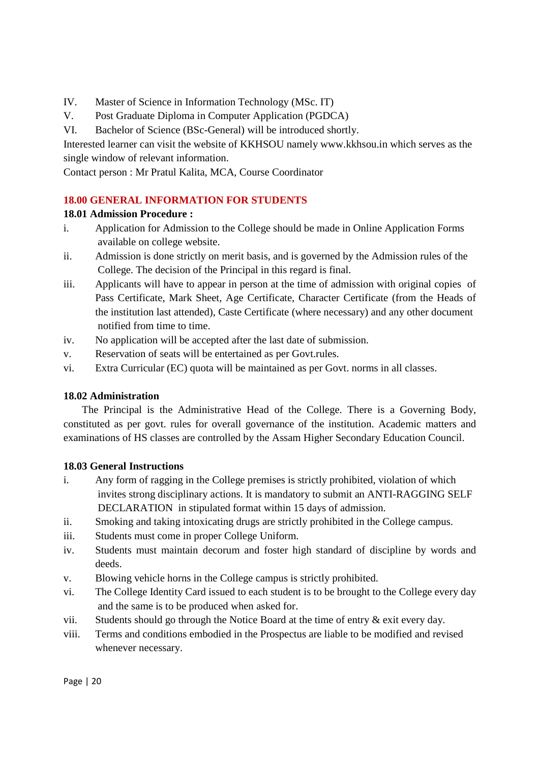IV. Master of Science in Information Technology (MSc. IT)

V. Post Graduate Diploma in Computer Application (PGDCA)

VI. Bachelor of Science (BSc-General) will be introduced shortly.

Interested learner can visit the website of KKHSOU namely www.kkhsou.in which serves as the single window of relevant information.

Contact person : Mr Pratul Kalita, MCA, Course Coordinator

### **18.00 GENERAL INFORMATION FOR STUDENTS**

### **18.01 Admission Procedure :**

- i. Application for Admission to the College should be made in Online Application Forms available on college website.
- ii. Admission is done strictly on merit basis, and is governed by the Admission rules of the College. The decision of the Principal in this regard is final.
- iii. Applicants will have to appear in person at the time of admission with original copies of Pass Certificate, Mark Sheet, Age Certificate, Character Certificate (from the Heads of the institution last attended), Caste Certificate (where necessary) and any other document notified from time to time.
- iv. No application will be accepted after the last date of submission.
- v. Reservation of seats will be entertained as per Govt.rules.
- vi. Extra Curricular (EC) quota will be maintained as per Govt. norms in all classes.

### **18.02 Administration**

 The Principal is the Administrative Head of the College. There is a Governing Body, constituted as per govt. rules for overall governance of the institution. Academic matters and examinations of HS classes are controlled by the Assam Higher Secondary Education Council.

### **18.03 General Instructions**

- i. Any form of ragging in the College premises is strictly prohibited, violation of which invites strong disciplinary actions. It is mandatory to submit an ANTI-RAGGING SELF DECLARATION in stipulated format within 15 days of admission.
- ii. Smoking and taking intoxicating drugs are strictly prohibited in the College campus.
- iii. Students must come in proper College Uniform.
- iv. Students must maintain decorum and foster high standard of discipline by words and deeds.
- v. Blowing vehicle horns in the College campus is strictly prohibited.
- vi. The College Identity Card issued to each student is to be brought to the College every day and the same is to be produced when asked for.
- vii. Students should go through the Notice Board at the time of entry & exit every day.
- viii. Terms and conditions embodied in the Prospectus are liable to be modified and revised whenever necessary.

Page | 20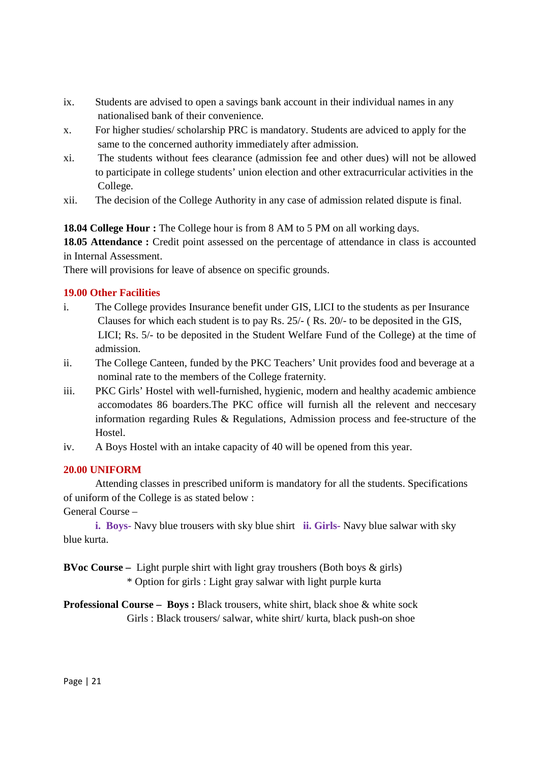- ix. Students are advised to open a savings bank account in their individual names in any nationalised bank of their convenience.
- x. For higher studies/ scholarship PRC is mandatory. Students are adviced to apply for the same to the concerned authority immediately after admission.
- xi. The students without fees clearance (admission fee and other dues) will not be allowed to participate in college students' union election and other extracurricular activities in the College.
- xii. The decision of the College Authority in any case of admission related dispute is final.

**18.04 College Hour :** The College hour is from 8 AM to 5 PM on all working days.

**18.05 Attendance :** Credit point assessed on the percentage of attendance in class is accounted in Internal Assessment.

There will provisions for leave of absence on specific grounds.

### **19.00 Other Facilities**

- i. The College provides Insurance benefit under GIS, LICI to the students as per Insurance Clauses for which each student is to pay Rs. 25/- ( Rs. 20/- to be deposited in the GIS, LICI; Rs. 5/- to be deposited in the Student Welfare Fund of the College) at the time of admission.
- ii. The College Canteen, funded by the PKC Teachers' Unit provides food and beverage at a nominal rate to the members of the College fraternity.
- iii. PKC Girls' Hostel with well-furnished, hygienic, modern and healthy academic ambience accomodates 86 boarders.The PKC office will furnish all the relevent and neccesary information regarding Rules & Regulations, Admission process and fee-structure of the Hostel.
- iv. A Boys Hostel with an intake capacity of 40 will be opened from this year.

### **20.00 UNIFORM**

 Attending classes in prescribed uniform is mandatory for all the students. Specifications of uniform of the College is as stated below :

General Course –

**i. Boys-** Navy blue trousers with sky blue shirt **ii. Girls-** Navy blue salwar with sky blue kurta.

**BVoc Course –** Light purple shirt with light gray troushers (Both boys & girls) \* Option for girls : Light gray salwar with light purple kurta

**Professional Course – Boys :** Black trousers, white shirt, black shoe & white sock Girls : Black trousers/ salwar, white shirt/ kurta, black push-on shoe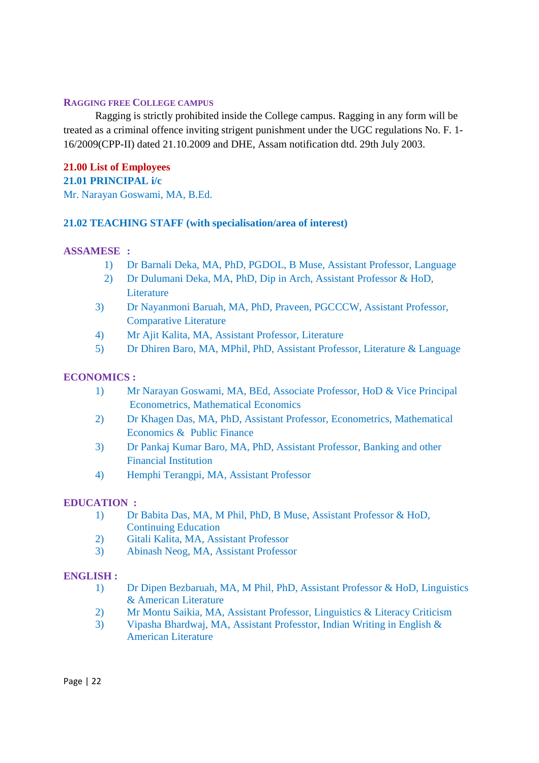#### **RAGGING FREE COLLEGE CAMPUS**

 Ragging is strictly prohibited inside the College campus. Ragging in any form will be treated as a criminal offence inviting strigent punishment under the UGC regulations No. F. 1- 16/2009(CPP-II) dated 21.10.2009 and DHE, Assam notification dtd. 29th July 2003.

**21.00 List of Employees 21.01 PRINCIPAL i/c**  Mr. Narayan Goswami, MA, B.Ed.

### **21.02 TEACHING STAFF (with specialisation/area of interest)**

### **ASSAMESE :**

- 1) Dr Barnali Deka, MA, PhD, PGDOL, B Muse, Assistant Professor, Language
- 2) Dr Dulumani Deka, MA, PhD, Dip in Arch, Assistant Professor & HoD, **Literature**
- 3) Dr Nayanmoni Baruah, MA, PhD, Praveen, PGCCCW, Assistant Professor, Comparative Literature
- 4) Mr Ajit Kalita, MA, Assistant Professor, Literature
- 5) Dr Dhiren Baro, MA, MPhil, PhD, Assistant Professor, Literature & Language

### **ECONOMICS :**

- 1) Mr Narayan Goswami, MA, BEd, Associate Professor, HoD & Vice Principal Econometrics, Mathematical Economics
- 2) Dr Khagen Das, MA, PhD, Assistant Professor, Econometrics, Mathematical Economics & Public Finance
- 3) Dr Pankaj Kumar Baro, MA, PhD, Assistant Professor, Banking and other Financial Institution
- 4) Hemphi Terangpi, MA, Assistant Professor

### **EDUCATION :**

- 1) Dr Babita Das, MA, M Phil, PhD, B Muse, Assistant Professor & HoD, Continuing Education
- 2) Gitali Kalita, MA, Assistant Professor
- 3) Abinash Neog, MA, Assistant Professor

### **ENGLISH :**

- 1) Dr Dipen Bezbaruah, MA, M Phil, PhD, Assistant Professor & HoD, Linguistics & American Literature
- 2) Mr Montu Saikia, MA, Assistant Professor, Linguistics & Literacy Criticism
- 3) Vipasha Bhardwaj, MA, Assistant Professtor, Indian Writing in English & American Literature

Page | 22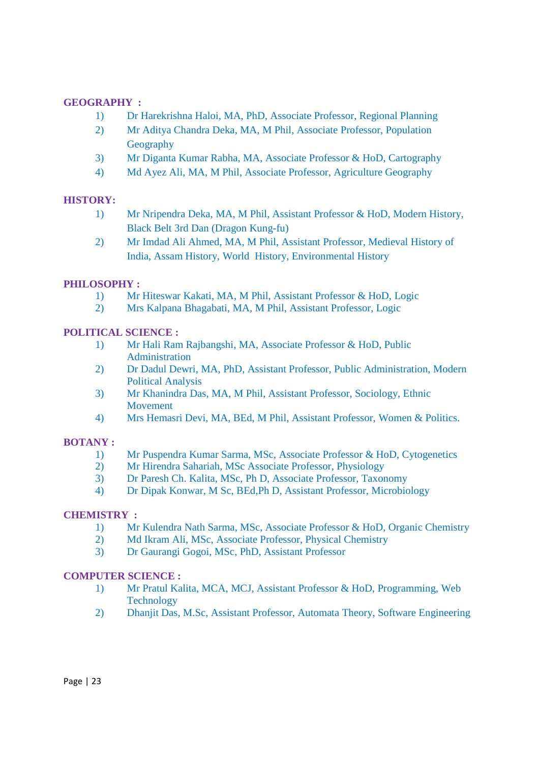### **GEOGRAPHY :**

- 1) Dr Harekrishna Haloi, MA, PhD, Associate Professor, Regional Planning
- 2) Mr Aditya Chandra Deka, MA, M Phil, Associate Professor, Population **Geography**
- 3) Mr Diganta Kumar Rabha, MA, Associate Professor & HoD, Cartography
- 4) Md Ayez Ali, MA, M Phil, Associate Professor, Agriculture Geography

### **HISTORY:**

- 1) Mr Nripendra Deka, MA, M Phil, Assistant Professor & HoD, Modern History, Black Belt 3rd Dan (Dragon Kung-fu)
- 2) Mr Imdad Ali Ahmed, MA, M Phil, Assistant Professor, Medieval History of India, Assam History, World History, Environmental History

### **PHILOSOPHY :**

- 1) Mr Hiteswar Kakati, MA, M Phil, Assistant Professor & HoD, Logic
- 2) Mrs Kalpana Bhagabati, MA, M Phil, Assistant Professor, Logic

### **POLITICAL SCIENCE :**

- 1) Mr Hali Ram Rajbangshi, MA, Associate Professor & HoD, Public Administration
- 2) Dr Dadul Dewri, MA, PhD, Assistant Professor, Public Administration, Modern Political Analysis
- 3) Mr Khanindra Das, MA, M Phil, Assistant Professor, Sociology, Ethnic **Movement**
- 4) Mrs Hemasri Devi, MA, BEd, M Phil, Assistant Professor, Women & Politics.

### **BOTANY :**

- 1) Mr Puspendra Kumar Sarma, MSc, Associate Professor & HoD, Cytogenetics
- 2) Mr Hirendra Sahariah, MSc Associate Professor, Physiology
- 3) Dr Paresh Ch. Kalita, MSc, Ph D, Associate Professor, Taxonomy
- 4) Dr Dipak Konwar, M Sc, BEd,Ph D, Assistant Professor, Microbiology

### **CHEMISTRY :**

- 1) Mr Kulendra Nath Sarma, MSc, Associate Professor & HoD, Organic Chemistry
- 2) Md Ikram Ali, MSc, Associate Professor, Physical Chemistry
- 3) Dr Gaurangi Gogoi, MSc, PhD, Assistant Professor

### **COMPUTER SCIENCE :**

- 1) Mr Pratul Kalita, MCA, MCJ, Assistant Professor & HoD, Programming, Web Technology
- 2) Dhanjit Das, M.Sc, Assistant Professor, Automata Theory, Software Engineering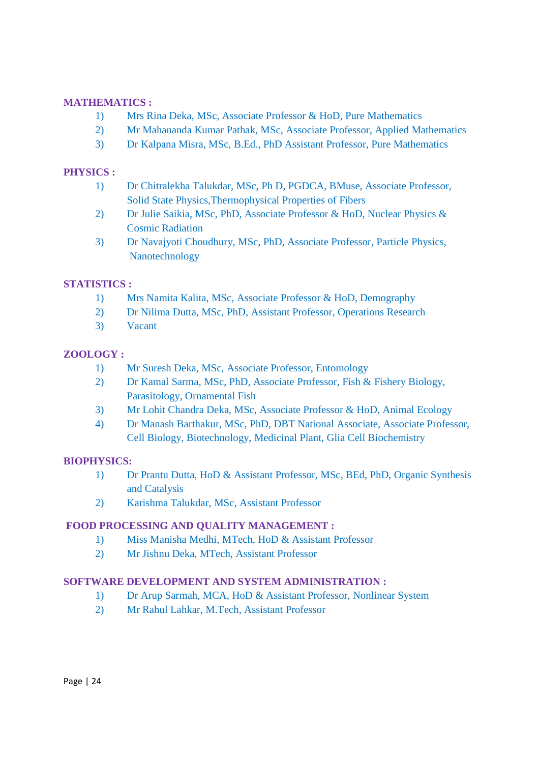### **MATHEMATICS :**

- 1) Mrs Rina Deka, MSc, Associate Professor & HoD, Pure Mathematics
- 2) Mr Mahananda Kumar Pathak, MSc, Associate Professor, Applied Mathematics
- 3) Dr Kalpana Misra, MSc, B.Ed., PhD Assistant Professor, Pure Mathematics

### **PHYSICS :**

- 1) Dr Chitralekha Talukdar, MSc, Ph D, PGDCA, BMuse, Associate Professor, Solid State Physics,Thermophysical Properties of Fibers
- 2) Dr Julie Saikia, MSc, PhD, Associate Professor & HoD, Nuclear Physics & Cosmic Radiation
- 3) Dr Navajyoti Choudhury, MSc, PhD, Associate Professor, Particle Physics, Nanotechnology

### **STATISTICS :**

- 1) Mrs Namita Kalita, MSc, Associate Professor & HoD, Demography
- 2) Dr Nilima Dutta, MSc, PhD, Assistant Professor, Operations Research
- 3) Vacant

### **ZOOLOGY :**

- 1) Mr Suresh Deka, MSc, Associate Professor, Entomology
- 2) Dr Kamal Sarma, MSc, PhD, Associate Professor, Fish & Fishery Biology, Parasitology, Ornamental Fish
- 3) Mr Lohit Chandra Deka, MSc, Associate Professor & HoD, Animal Ecology
- 4) Dr Manash Barthakur, MSc, PhD, DBT National Associate, Associate Professor, Cell Biology, Biotechnology, Medicinal Plant, Glia Cell Biochemistry

### **BIOPHYSICS:**

- 1) Dr Prantu Dutta, HoD & Assistant Professor, MSc, BEd, PhD, Organic Synthesis and Catalysis
- 2) Karishma Talukdar, MSc, Assistant Professor

### **FOOD PROCESSING AND QUALITY MANAGEMENT :**

- 1) Miss Manisha Medhi, MTech, HoD & Assistant Professor
- 2) Mr Jishnu Deka, MTech, Assistant Professor

### **SOFTWARE DEVELOPMENT AND SYSTEM ADMINISTRATION :**

- 1) Dr Arup Sarmah, MCA, HoD & Assistant Professor, Nonlinear System
- 2) Mr Rahul Lahkar, M.Tech, Assistant Professor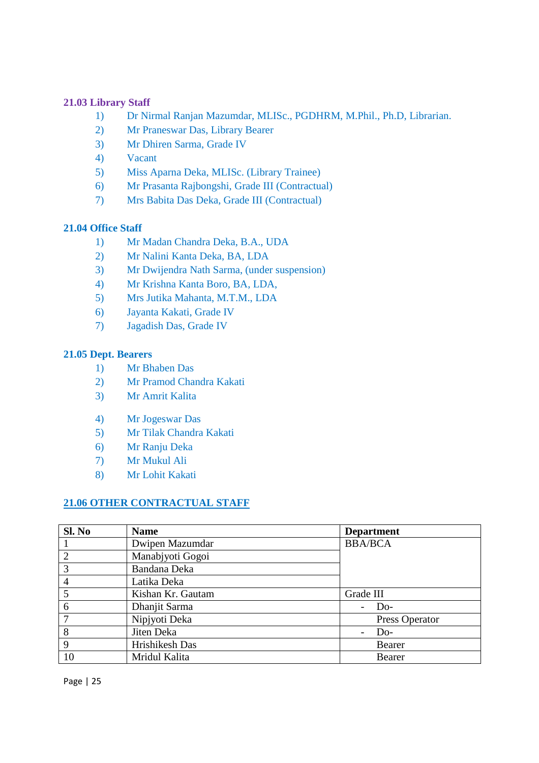### **21.03 Library Staff**

- 1) Dr Nirmal Ranjan Mazumdar, MLISc., PGDHRM, M.Phil., Ph.D, Librarian.
- 2) Mr Praneswar Das, Library Bearer
- 3) Mr Dhiren Sarma, Grade IV
- 4) Vacant
- 5) Miss Aparna Deka, MLISc. (Library Trainee)
- 6) Mr Prasanta Rajbongshi, Grade III (Contractual)
- 7) Mrs Babita Das Deka, Grade III (Contractual)

### **21.04 Office Staff**

- 1) Mr Madan Chandra Deka, B.A., UDA
- 2) Mr Nalini Kanta Deka, BA, LDA
- 3) Mr Dwijendra Nath Sarma, (under suspension)
- 4) Mr Krishna Kanta Boro, BA, LDA,
- 5) Mrs Jutika Mahanta, M.T.M., LDA
- 6) Jayanta Kakati, Grade IV
- 7) Jagadish Das, Grade IV

### **21.05 Dept. Bearers**

- 1) Mr Bhaben Das
- 2) Mr Pramod Chandra Kakati
- 3) Mr Amrit Kalita
- 4) Mr Jogeswar Das
- 5) Mr Tilak Chandra Kakati
- 6) Mr Ranju Deka
- 7) Mr Mukul Ali
- 8) Mr Lohit Kakati

### **21.06 OTHER CONTRACTUAL STAFF**

| Sl. No         | <b>Name</b>         | <b>Department</b> |
|----------------|---------------------|-------------------|
|                | Dwipen Mazumdar     | <b>BBA/BCA</b>    |
| $\overline{2}$ | Manabjyoti Gogoi    |                   |
| 3              | <b>Bandana Deka</b> |                   |
| $\overline{4}$ | Latika Deka         |                   |
| 5              | Kishan Kr. Gautam   | Grade III         |
| 6              | Dhanjit Sarma       | $Do-$             |
| $\overline{7}$ | Nipjyoti Deka       | Press Operator    |
| 8              | Jiten Deka          | Do-               |
| 9              | Hrishikesh Das      | Bearer            |
| 10             | Mridul Kalita       | Bearer            |